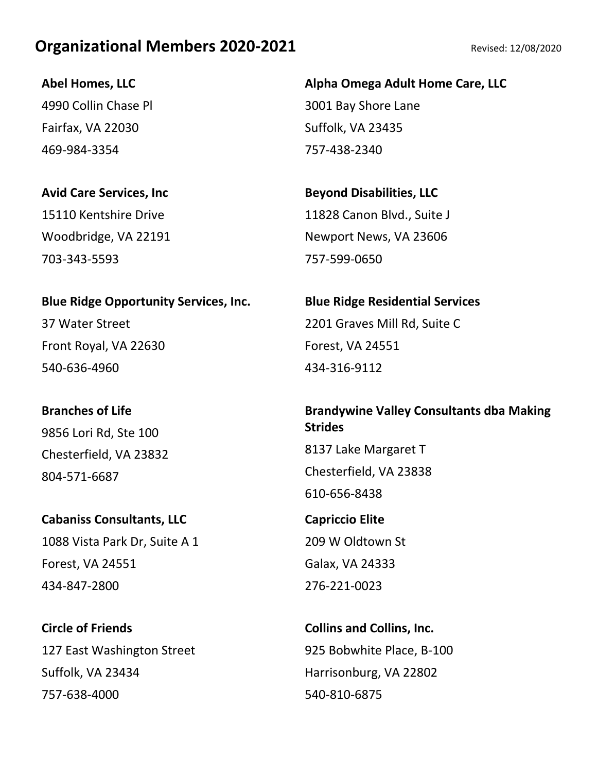**Abel Homes, LLC** 4990 Collin Chase Pl Fairfax, VA 22030 469-984-3354

**Avid Care Services, Inc** 15110 Kentshire Drive Woodbridge, VA 22191 703-343-5593

**Blue Ridge Opportunity Services, Inc.** 37 Water Street Front Royal, VA 22630 540-636-4960

**Branches of Life** 9856 Lori Rd, Ste 100 Chesterfield, VA 23832 804-571-6687

**Cabaniss Consultants, LLC** 1088 Vista Park Dr, Suite A 1 Forest, VA 24551 434-847-2800

**Circle of Friends** 127 East Washington Street Suffolk, VA 23434 757-638-4000

**Alpha Omega Adult Home Care, LLC** 3001 Bay Shore Lane Suffolk, VA 23435 757-438-2340

**Beyond Disabilities, LLC** 11828 Canon Blvd., Suite J Newport News, VA 23606 757-599-0650

**Blue Ridge Residential Services** 2201 Graves Mill Rd, Suite C Forest, VA 24551 434-316-9112

#### **Brandywine Valley Consultants dba Making Strides**

8137 Lake Margaret T Chesterfield, VA 23838 610-656-8438

**Capriccio Elite** 209 W Oldtown St Galax, VA 24333 276-221-0023

**Collins and Collins, Inc.** 925 Bobwhite Place, B-100 Harrisonburg, VA 22802 540-810-6875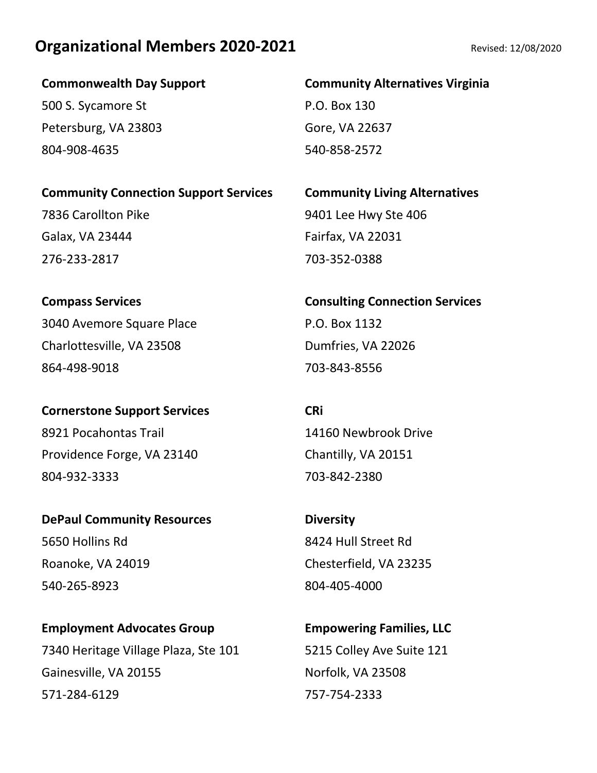**Commonwealth Day Support**

500 S. Sycamore St Petersburg, VA 23803 804-908-4635

**Community Connection Support Services**

7836 Carollton Pike Galax, VA 23444 276-233-2817

**Compass Services** 3040 Avemore Square Place Charlottesville, VA 23508 864-498-9018

**Cornerstone Support Services** 8921 Pocahontas Trail Providence Forge, VA 23140 804-932-3333

**DePaul Community Resources** 5650 Hollins Rd Roanoke, VA 24019 540-265-8923

**Employment Advocates Group** 7340 Heritage Village Plaza, Ste 101 Gainesville, VA 20155 571-284-6129

#### **Community Alternatives Virginia**

P.O. Box 130 Gore, VA 22637 540-858-2572

**Community Living Alternatives** 9401 Lee Hwy Ste 406 Fairfax, VA 22031 703-352-0388

**Consulting Connection Services** P.O. Box 1132 Dumfries, VA 22026 703-843-8556

**CRi** 14160 Newbrook Drive Chantilly, VA 20151 703-842-2380

**Diversity** 8424 Hull Street Rd Chesterfield, VA 23235 804-405-4000

**Empowering Families, LLC** 5215 Colley Ave Suite 121 Norfolk, VA 23508 757-754-2333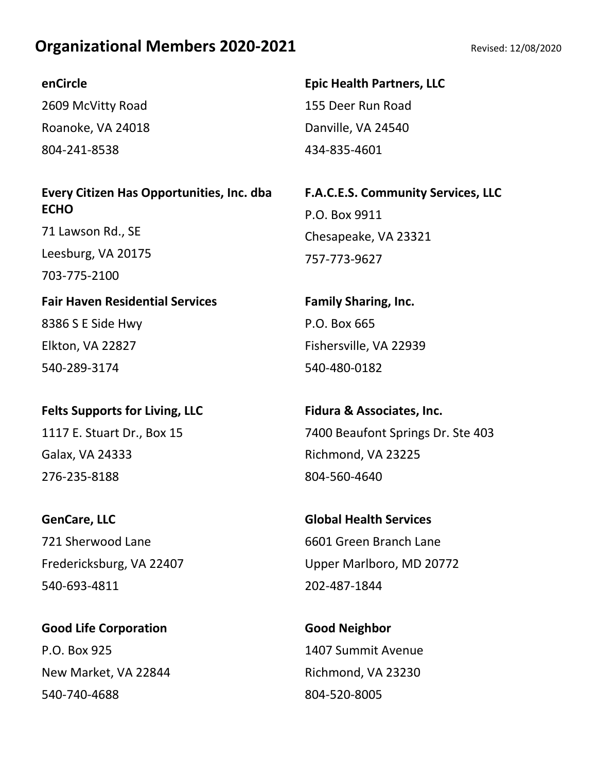#### **enCircle**

2609 McVitty Road Roanoke, VA 24018 804-241-8538

#### **Every Citizen Has Opportunities, Inc. dba ECHO**

71 Lawson Rd., SE Leesburg, VA 20175 703-775-2100

**Fair Haven Residential Services** 8386 S E Side Hwy Elkton, VA 22827 540-289-3174

# **Felts Supports for Living, LLC** 1117 E. Stuart Dr., Box 15 Galax, VA 24333 276-235-8188

**GenCare, LLC** 721 Sherwood Lane Fredericksburg, VA 22407 540-693-4811

**Good Life Corporation** P.O. Box 925 New Market, VA 22844 540-740-4688

**Epic Health Partners, LLC** 155 Deer Run Road Danville, VA 24540 434-835-4601

**F.A.C.E.S. Community Services, LLC** P.O. Box 9911 Chesapeake, VA 23321 757-773-9627

**Family Sharing, Inc.** P.O. Box 665 Fishersville, VA 22939 540-480-0182

**Fidura & Associates, Inc.** 7400 Beaufont Springs Dr. Ste 403 Richmond, VA 23225 804-560-4640

**Global Health Services** 6601 Green Branch Lane Upper Marlboro, MD 20772 202-487-1844

**Good Neighbor** 1407 Summit Avenue Richmond, VA 23230 804-520-8005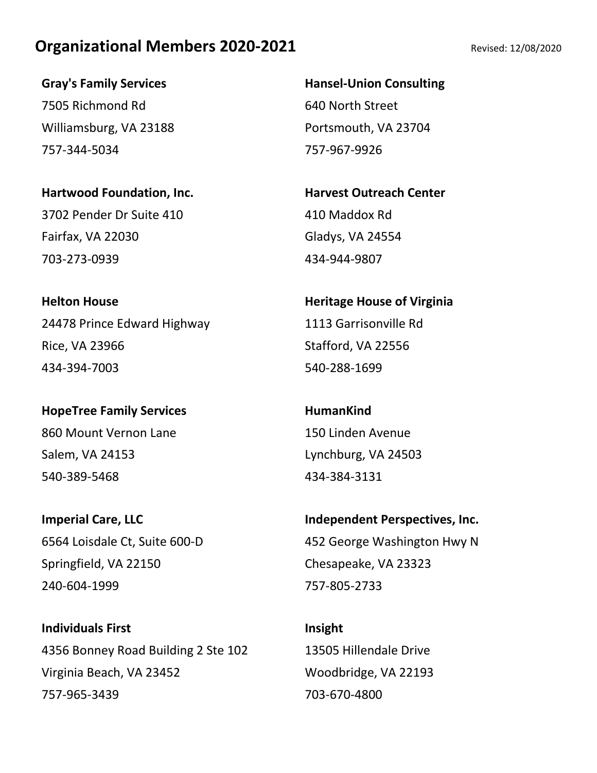**Gray's Family Services** 7505 Richmond Rd Williamsburg, VA 23188 757-344-5034

**Hartwood Foundation, Inc.** 3702 Pender Dr Suite 410 Fairfax, VA 22030 703-273-0939

**Helton House** 24478 Prince Edward Highway Rice, VA 23966 434-394-7003

**HopeTree Family Services** 860 Mount Vernon Lane Salem, VA 24153 540-389-5468

**Imperial Care, LLC** 6564 Loisdale Ct, Suite 600-D Springfield, VA 22150 240-604-1999

**Individuals First** 4356 Bonney Road Building 2 Ste 102 Virginia Beach, VA 23452 757-965-3439

**Hansel-Union Consulting** 640 North Street Portsmouth, VA 23704 757-967-9926

**Harvest Outreach Center** 410 Maddox Rd Gladys, VA 24554 434-944-9807

**Heritage House of Virginia** 1113 Garrisonville Rd Stafford, VA 22556 540-288-1699

**HumanKind** 150 Linden Avenue Lynchburg, VA 24503 434-384-3131

**Independent Perspectives, Inc.** 452 George Washington Hwy N Chesapeake, VA 23323 757-805-2733

**Insight** 13505 Hillendale Drive Woodbridge, VA 22193 703-670-4800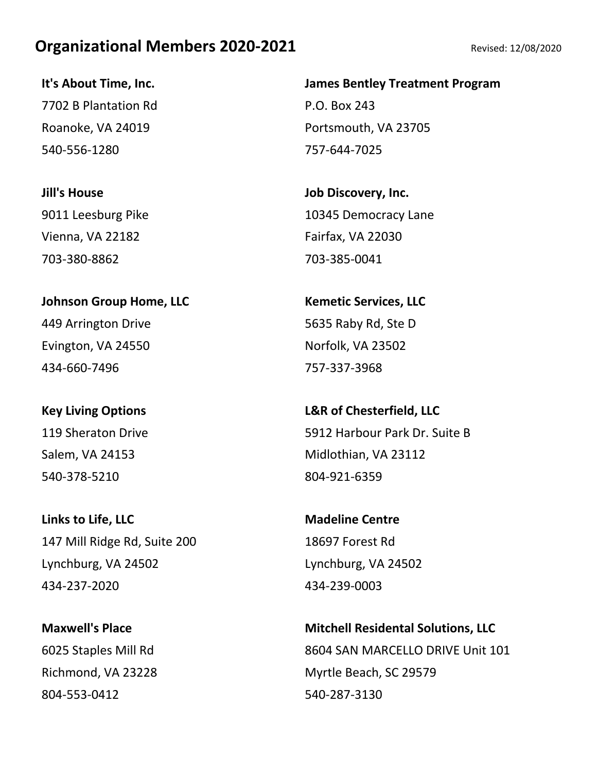**It's About Time, Inc.** 7702 B Plantation Rd Roanoke, VA 24019 540-556-1280

**Jill's House** 9011 Leesburg Pike Vienna, VA 22182 703-380-8862

## **Johnson Group Home, LLC** 449 Arrington Drive Evington, VA 24550 434-660-7496

**Key Living Options** 119 Sheraton Drive Salem, VA 24153 540-378-5210

**Links to Life, LLC** 147 Mill Ridge Rd, Suite 200 Lynchburg, VA 24502 434-237-2020

**Maxwell's Place** 6025 Staples Mill Rd Richmond, VA 23228 804-553-0412

#### **James Bentley Treatment Program**

P.O. Box 243 Portsmouth, VA 23705 757-644-7025

**Job Discovery, Inc.** 10345 Democracy Lane Fairfax, VA 22030 703-385-0041

**Kemetic Services, LLC** 5635 Raby Rd, Ste D Norfolk, VA 23502 757-337-3968

**L&R of Chesterfield, LLC** 5912 Harbour Park Dr. Suite B Midlothian, VA 23112 804-921-6359

**Madeline Centre** 18697 Forest Rd Lynchburg, VA 24502 434-239-0003

**Mitchell Residental Solutions, LLC** 8604 SAN MARCELLO DRIVE Unit 101 Myrtle Beach, SC 29579 540-287-3130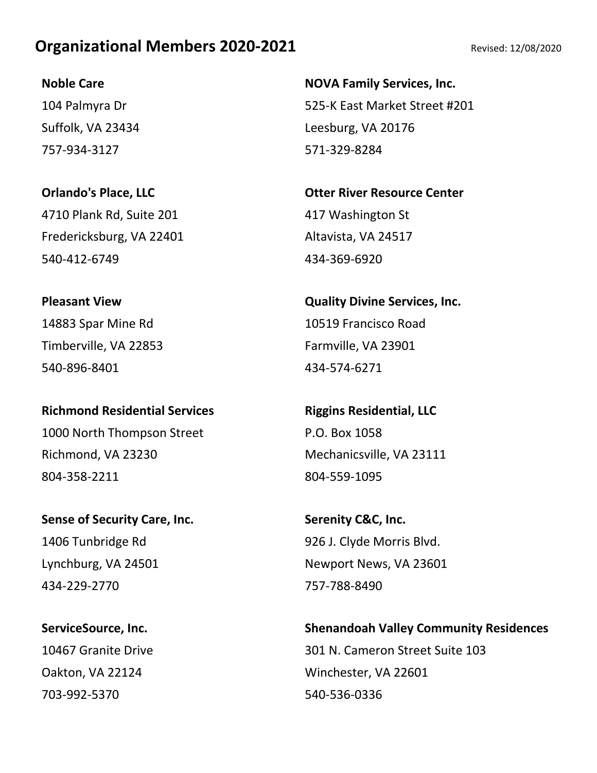#### **Noble Care**

104 Palmyra Dr Suffolk, VA 23434 757-934-3127

**Orlando's Place, LLC** 4710 Plank Rd, Suite 201 Fredericksburg, VA 22401 540-412-6749

**Pleasant View** 14883 Spar Mine Rd Timberville, VA 22853 540-896-8401

**Richmond Residential Services** 1000 North Thompson Street Richmond, VA 23230 804-358-2211

**Sense of Security Care, Inc.** 1406 Tunbridge Rd Lynchburg, VA 24501 434-229-2770

**ServiceSource, Inc.** 10467 Granite Drive Oakton, VA 22124 703-992-5370

**NOVA Family Services, Inc.** 525-K East Market Street #201 Leesburg, VA 20176 571-329-8284

**Otter River Resource Center** 417 Washington St Altavista, VA 24517 434-369-6920

**Quality Divine Services, Inc.** 10519 Francisco Road Farmville, VA 23901 434-574-6271

**Riggins Residential, LLC** P.O. Box 1058 Mechanicsville, VA 23111 804-559-1095

**Serenity C&C, Inc.** 926 J. Clyde Morris Blvd. Newport News, VA 23601 757-788-8490

**Shenandoah Valley Community Residences** 301 N. Cameron Street Suite 103 Winchester, VA 22601 540-536-0336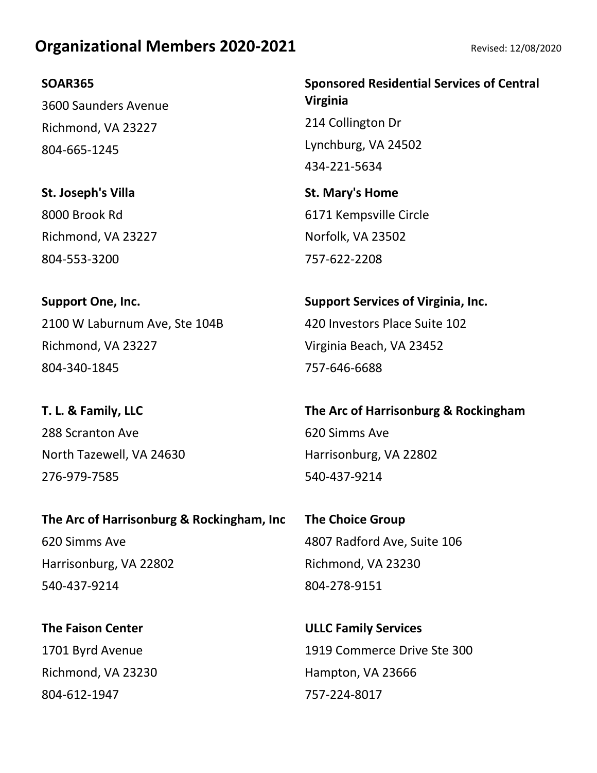#### **SOAR365**

3600 Saunders Avenue Richmond, VA 23227 804-665-1245

**St. Joseph's Villa** 8000 Brook Rd Richmond, VA 23227 804-553-3200

**Support One, Inc.** 2100 W Laburnum Ave, Ste 104B Richmond, VA 23227 804-340-1845

**T. L. & Family, LLC** 288 Scranton Ave North Tazewell, VA 24630 276-979-7585

**The Arc of Harrisonburg & Rockingham, Inc** 620 Simms Ave Harrisonburg, VA 22802 540-437-9214

**The Faison Center** 1701 Byrd Avenue Richmond, VA 23230 804-612-1947

**Sponsored Residential Services of Central Virginia** 214 Collington Dr Lynchburg, VA 24502 434-221-5634

**St. Mary's Home** 6171 Kempsville Circle Norfolk, VA 23502 757-622-2208

**Support Services of Virginia, Inc.** 420 Investors Place Suite 102 Virginia Beach, VA 23452 757-646-6688

**The Arc of Harrisonburg & Rockingham** 620 Simms Ave Harrisonburg, VA 22802 540-437-9214

**The Choice Group** 4807 Radford Ave, Suite 106 Richmond, VA 23230 804-278-9151

**ULLC Family Services** 1919 Commerce Drive Ste 300 Hampton, VA 23666 757-224-8017